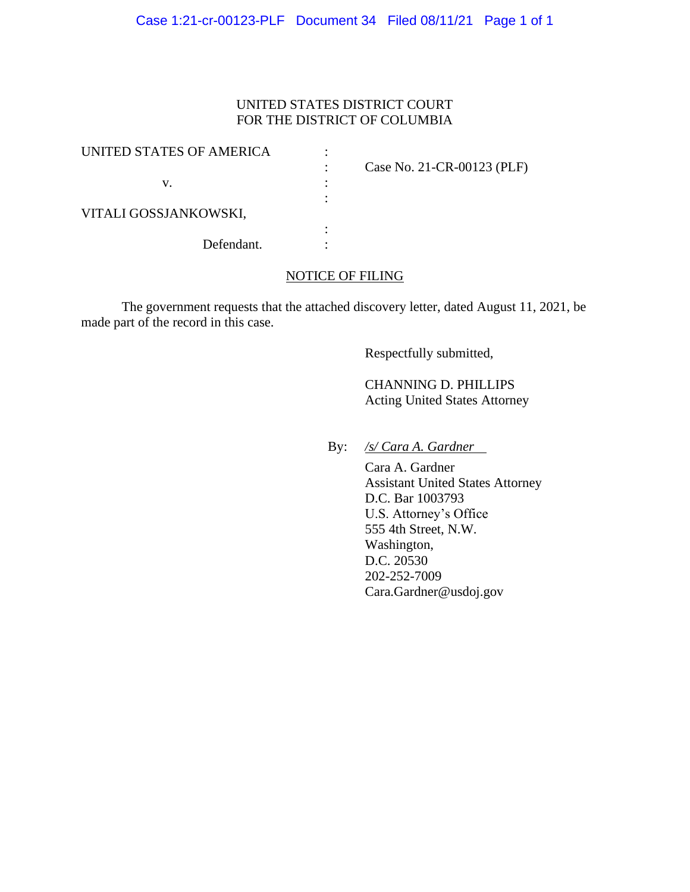# UNITED STATES DISTRICT COURT FOR THE DISTRICT OF COLUMBIA

| UNITED STATES OF AMERICA |                            |
|--------------------------|----------------------------|
|                          | Case No. 21-CR-00123 (PLF) |
| v.                       |                            |
|                          |                            |
| VITALI GOSSJANKOWSKI,    |                            |
|                          |                            |
| Defendant.               |                            |

## NOTICE OF FILING

The government requests that the attached discovery letter, dated August 11, 2021, be made part of the record in this case.

Respectfully submitted,

 CHANNING D. PHILLIPS Acting United States Attorney

By: */s/ Cara A. Gardner*

 Cara A. Gardner Assistant United States Attorney D.C. Bar 1003793 U.S. Attorney's Office 555 4th Street, N.W. Washington, D.C. 20530 202-252-7009 Cara.Gardner@usdoj.gov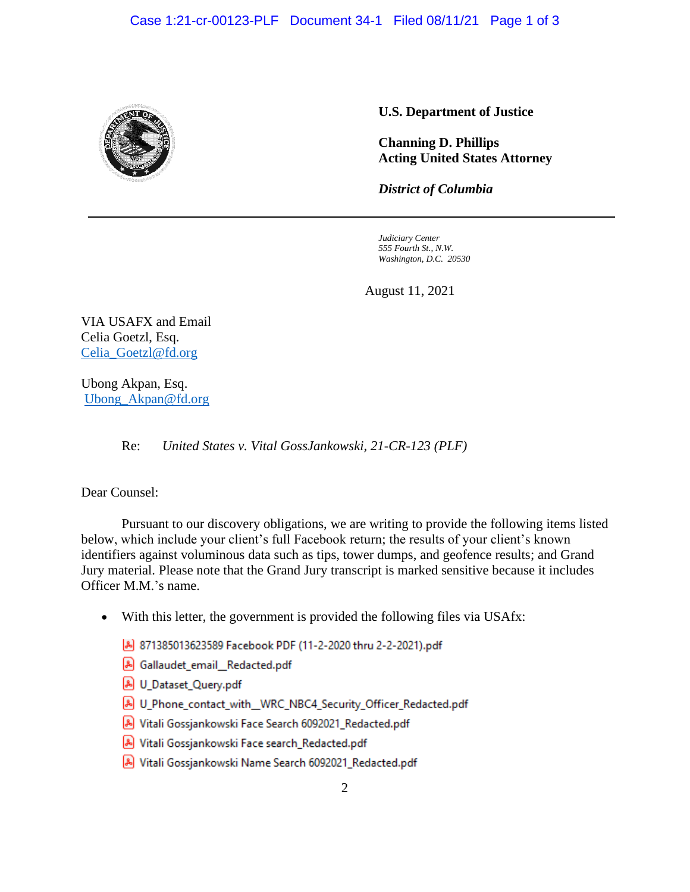

### **U.S. Department of Justice**

**Channing D. Phillips Acting United States Attorney**

*District of Columbia*

*Judiciary Center 555 Fourth St., N.W. Washington, D.C. 20530*

August 11, 2021

VIA USAFX and Email Celia Goetzl, Esq. Celia\_Goetzl@fd.org

Ubong Akpan, Esq. Ubong\_Akpan@fd.org

Re: *United States v. Vital GossJankowski, 21-CR-123 (PLF)* 

Dear Counsel:

Pursuant to our discovery obligations, we are writing to provide the following items listed below, which include your client's full Facebook return; the results of your client's known identifiers against voluminous data such as tips, tower dumps, and geofence results; and Grand Jury material. Please note that the Grand Jury transcript is marked sensitive because it includes Officer M.M.'s name.

- With this letter, the government is provided the following files via USAfx:
	- 871385013623589 Facebook PDF (11-2-2020 thru 2-2-2021).pdf
	- A Gallaudet email Redacted.pdf
	- A U Dataset Query.pdf
	- A U Phone contact with WRC NBC4 Security Officer Redacted.pdf
	- A Vitali Gossjankowski Face Search 6092021\_Redacted.pdf
	- Nitali Gossjankowski Face search\_Redacted.pdf
	- A Vitali Gossjankowski Name Search 6092021\_Redacted.pdf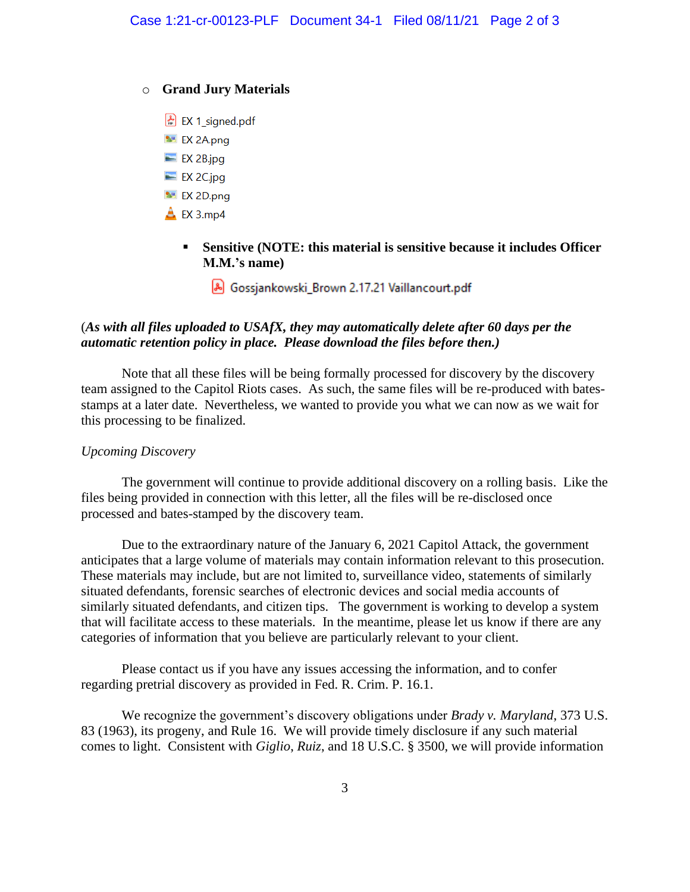### o **Grand Jury Materials**

- $\left| \frac{1}{n} \right|$  EX 1 signed.pdf
- **NE EX 2A.png**
- $\equiv$  EX 2B.jpg
- $\equiv$  EX 2C.jpg
- **N** EX 2D.png
- $\triangle$  EX 3.mp4
	- **Sensitive (NOTE: this material is sensitive because it includes Officer M.M.'s name)**
		- A Gossjankowski\_Brown 2.17.21 Vaillancourt.pdf

# (*As with all files uploaded to USAfX, they may automatically delete after 60 days per the automatic retention policy in place. Please download the files before then.)*

Note that all these files will be being formally processed for discovery by the discovery team assigned to the Capitol Riots cases. As such, the same files will be re-produced with batesstamps at a later date. Nevertheless, we wanted to provide you what we can now as we wait for this processing to be finalized.

## *Upcoming Discovery*

The government will continue to provide additional discovery on a rolling basis. Like the files being provided in connection with this letter, all the files will be re-disclosed once processed and bates-stamped by the discovery team.

Due to the extraordinary nature of the January 6, 2021 Capitol Attack, the government anticipates that a large volume of materials may contain information relevant to this prosecution. These materials may include, but are not limited to, surveillance video, statements of similarly situated defendants, forensic searches of electronic devices and social media accounts of similarly situated defendants, and citizen tips. The government is working to develop a system that will facilitate access to these materials. In the meantime, please let us know if there are any categories of information that you believe are particularly relevant to your client.

Please contact us if you have any issues accessing the information, and to confer regarding pretrial discovery as provided in Fed. R. Crim. P. 16.1.

We recognize the government's discovery obligations under *Brady v. Maryland*, 373 U.S. 83 (1963), its progeny, and Rule 16. We will provide timely disclosure if any such material comes to light. Consistent with *Giglio*, *Ruiz*, and 18 U.S.C. § 3500, we will provide information